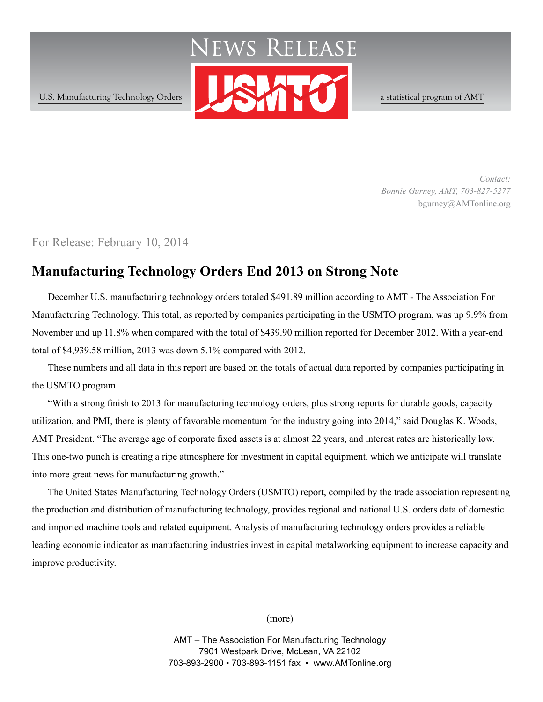

*Contact: Bonnie Gurney, AMT, 703-827-5277* bgurney@AMTonline.org

For Release: February 10, 2014

# **Manufacturing Technology Orders End 2013 on Strong Note**

December U.S. manufacturing technology orders totaled \$491.89 million according to AMT - The Association For Manufacturing Technology. This total, as reported by companies participating in the USMTO program, was up 9.9% from November and up 11.8% when compared with the total of \$439.90 million reported for December 2012. With a year-end total of \$4,939.58 million, 2013 was down 5.1% compared with 2012.

These numbers and all data in this report are based on the totals of actual data reported by companies participating in the USMTO program.

"With a strong finish to 2013 for manufacturing technology orders, plus strong reports for durable goods, capacity utilization, and PMI, there is plenty of favorable momentum for the industry going into 2014," said Douglas K. Woods, AMT President. "The average age of corporate fixed assets is at almost 22 years, and interest rates are historically low. This one-two punch is creating a ripe atmosphere for investment in capital equipment, which we anticipate will translate into more great news for manufacturing growth."

The United States Manufacturing Technology Orders (USMTO) report, compiled by the trade association representing the production and distribution of manufacturing technology, provides regional and national U.S. orders data of domestic and imported machine tools and related equipment. Analysis of manufacturing technology orders provides a reliable leading economic indicator as manufacturing industries invest in capital metalworking equipment to increase capacity and improve productivity.

(more)

AMT – The Association For Manufacturing Technology 7901 Westpark Drive, McLean, VA 22102 703-893-2900 ▪ 703-893-1151 fax ▪ www.AMTonline.org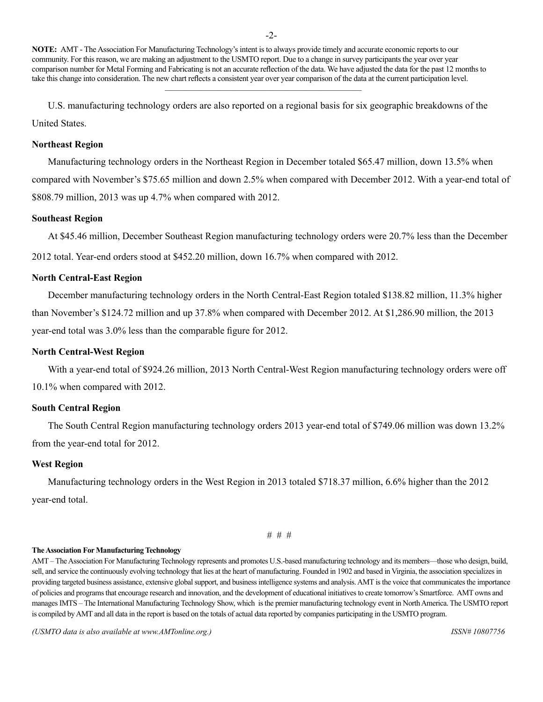U.S. manufacturing technology orders are also reported on a regional basis for six geographic breakdowns of the United States.

### **Northeast Region**

Manufacturing technology orders in the Northeast Region in December totaled \$65.47 million, down 13.5% when compared with November's \$75.65 million and down 2.5% when compared with December 2012. With a year-end total of \$808.79 million, 2013 was up 4.7% when compared with 2012.

### **Southeast Region**

At \$45.46 million, December Southeast Region manufacturing technology orders were 20.7% less than the December

2012 total. Year-end orders stood at \$452.20 million, down 16.7% when compared with 2012.

### **North Central-East Region**

December manufacturing technology orders in the North Central-East Region totaled \$138.82 million, 11.3% higher than November's \$124.72 million and up 37.8% when compared with December 2012. At \$1,286.90 million, the 2013 year-end total was 3.0% less than the comparable figure for 2012.

### **North Central-West Region**

With a year-end total of \$924.26 million, 2013 North Central-West Region manufacturing technology orders were off 10.1% when compared with 2012.

### **South Central Region**

The South Central Region manufacturing technology orders 2013 year-end total of \$749.06 million was down 13.2% from the year-end total for 2012.

### **West Region**

Manufacturing technology orders in the West Region in 2013 totaled \$718.37 million, 6.6% higher than the 2012 year-end total.

```
# # #
```
### **The Association For Manufacturing Technology**

AMT – The Association For Manufacturing Technology represents and promotes U.S.-based manufacturing technology and its members—those who design, build, sell, and service the continuously evolving technology that lies at the heart of manufacturing. Founded in 1902 and based in Virginia, the association specializes in providing targeted business assistance, extensive global support, and business intelligence systems and analysis. AMT is the voice that communicates the importance of policies and programs that encourage research and innovation, and the development of educational initiatives to create tomorrow's Smartforce. AMT owns and manages IMTS – The International Manufacturing Technology Show, which is the premier manufacturing technology event in North America. The USMTO report is compiled by AMT and all data in the report is based on the totals of actual data reported by companies participating in the USMTO program.

*(USMTO data is also available at www.AMTonline.org.) ISSN# 10807756*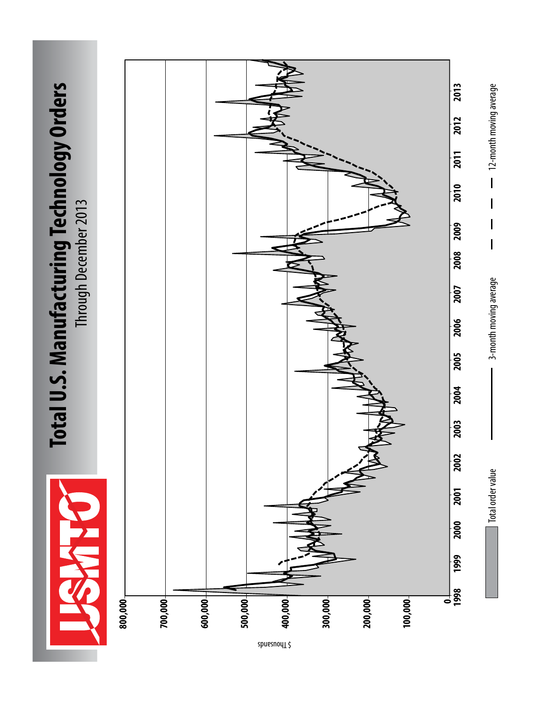

# Total U.S. Manufacturing Technology Orders **Total U.S. Manufacturing Technology Orders** Through December 2013 Through December 2013



spuesnoy<sub>1</sub> \$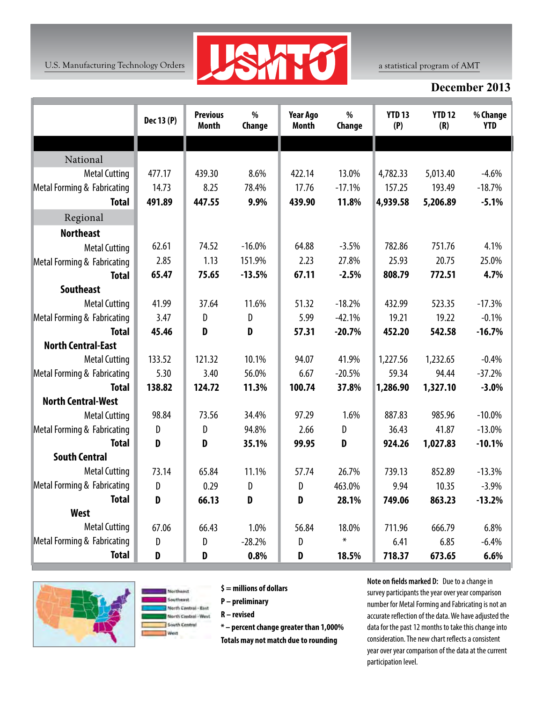

# **December 2013**

|                             | Dec 13 (P)   | <b>Previous</b><br><b>Month</b> | %<br>Change | <b>Year Ago</b><br><b>Month</b> | $\%$<br>Change | <b>YTD 13</b><br>(P) | <b>YTD 12</b><br>(R) | % Change<br><b>YTD</b> |
|-----------------------------|--------------|---------------------------------|-------------|---------------------------------|----------------|----------------------|----------------------|------------------------|
|                             |              |                                 |             |                                 |                |                      |                      |                        |
| National                    |              |                                 |             |                                 |                |                      |                      |                        |
| <b>Metal Cutting</b>        | 477.17       | 439.30                          | 8.6%        | 422.14                          | 13.0%          | 4,782.33             | 5,013.40             | $-4.6%$                |
| Metal Forming & Fabricating | 14.73        | 8.25                            | 78.4%       | 17.76                           | $-17.1%$       | 157.25               | 193.49               | $-18.7%$               |
| <b>Total</b>                | 491.89       | 447.55                          | 9.9%        | 439.90                          | 11.8%          | 4,939.58             | 5,206.89             | $-5.1%$                |
| Regional                    |              |                                 |             |                                 |                |                      |                      |                        |
| <b>Northeast</b>            |              |                                 |             |                                 |                |                      |                      |                        |
| <b>Metal Cutting</b>        | 62.61        | 74.52                           | $-16.0%$    | 64.88                           | $-3.5%$        | 782.86               | 751.76               | 4.1%                   |
| Metal Forming & Fabricating | 2.85         | 1.13                            | 151.9%      | 2.23                            | 27.8%          | 25.93                | 20.75                | 25.0%                  |
| <b>Total</b>                | 65.47        | 75.65                           | $-13.5%$    | 67.11                           | $-2.5%$        | 808.79               | 772.51               | 4.7%                   |
| <b>Southeast</b>            |              |                                 |             |                                 |                |                      |                      |                        |
| <b>Metal Cutting</b>        | 41.99        | 37.64                           | 11.6%       | 51.32                           | $-18.2%$       | 432.99               | 523.35               | $-17.3%$               |
| Metal Forming & Fabricating | 3.47         | D                               | D           | 5.99                            | $-42.1%$       | 19.21                | 19.22                | $-0.1%$                |
| <b>Total</b>                | 45.46        | D                               | D           | 57.31                           | $-20.7%$       | 452.20               | 542.58               | $-16.7%$               |
| <b>North Central-East</b>   |              |                                 |             |                                 |                |                      |                      |                        |
| <b>Metal Cutting</b>        | 133.52       | 121.32                          | 10.1%       | 94.07                           | 41.9%          | 1,227.56             | 1,232.65             | $-0.4%$                |
| Metal Forming & Fabricating | 5.30         | 3.40                            | 56.0%       | 6.67                            | $-20.5%$       | 59.34                | 94.44                | $-37.2%$               |
| <b>Total</b>                | 138.82       | 124.72                          | 11.3%       | 100.74                          | 37.8%          | 1,286.90             | 1,327.10             | $-3.0%$                |
| <b>North Central-West</b>   |              |                                 |             |                                 |                |                      |                      |                        |
| <b>Metal Cutting</b>        | 98.84        | 73.56                           | 34.4%       | 97.29                           | 1.6%           | 887.83               | 985.96               | $-10.0%$               |
| Metal Forming & Fabricating | D            | D                               | 94.8%       | 2.66                            | D              | 36.43                | 41.87                | $-13.0%$               |
| <b>Total</b>                | D            | D                               | 35.1%       | 99.95                           | D              | 924.26               | 1,027.83             | $-10.1%$               |
| <b>South Central</b>        |              |                                 |             |                                 |                |                      |                      |                        |
| <b>Metal Cutting</b>        | 73.14        | 65.84                           | 11.1%       | 57.74                           | 26.7%          | 739.13               | 852.89               | $-13.3%$               |
| Metal Forming & Fabricating | $\mathsf{D}$ | 0.29                            | D           | D                               | 463.0%         | 9.94                 | 10.35                | $-3.9%$                |
| <b>Total</b>                | D            | 66.13                           | D           | D                               | 28.1%          | 749.06               | 863.23               | $-13.2%$               |
| <b>West</b>                 |              |                                 |             |                                 |                |                      |                      |                        |
| <b>Metal Cutting</b>        | 67.06        | 66.43                           | 1.0%        | 56.84                           | 18.0%          | 711.96               | 666.79               | 6.8%                   |
| Metal Forming & Fabricating | D            | D                               | $-28.2%$    | D                               | $\pmb{\times}$ | 6.41                 | 6.85                 | $-6.4%$                |
| <b>Total</b>                | D            | D                               | 0.8%        | D                               | 18.5%          | 718.37               | 673.65               | 6.6%                   |





**\$ = millions of dollars** 

**P – preliminary**

**R – revised**

**\* – percent change greater than 1,000%**

**Totals may not match due to rounding**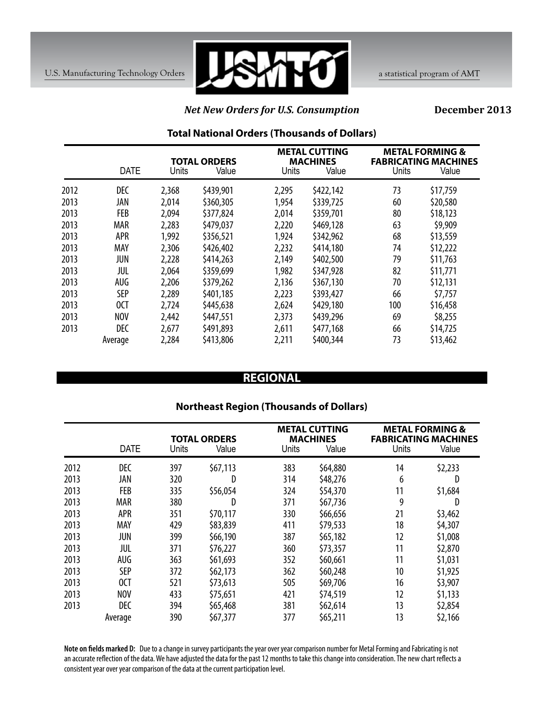

# *Net New Orders for U.S. Consumption*

**December 2013**

### **Total National Orders (Thousands of Dollars)**

|      |             | <b>TOTAL ORDERS</b> |           | <b>METAL CUTTING</b><br><b>MACHINES</b> |           | <b>METAL FORMING &amp;</b><br><b>FABRICATING MACHINES</b> |          |
|------|-------------|---------------------|-----------|-----------------------------------------|-----------|-----------------------------------------------------------|----------|
|      | <b>DATE</b> | Units               | Value     | Units                                   | Value     | <b>Units</b>                                              | Value    |
| 2012 | <b>DEC</b>  | 2,368               | \$439,901 | 2,295                                   | \$422,142 | 73                                                        | \$17,759 |
| 2013 | JAN         | 2,014               | \$360,305 | 1,954                                   | \$339,725 | 60                                                        | \$20,580 |
| 2013 | <b>FEB</b>  | 2,094               | \$377,824 | 2,014                                   | \$359,701 | 80                                                        | \$18,123 |
| 2013 | <b>MAR</b>  | 2,283               | \$479,037 | 2,220                                   | \$469,128 | 63                                                        | \$9,909  |
| 2013 | APR         | 1,992               | \$356,521 | 1,924                                   | \$342,962 | 68                                                        | \$13,559 |
| 2013 | MAY         | 2,306               | \$426,402 | 2,232                                   | \$414,180 | 74                                                        | \$12,222 |
| 2013 | JUN         | 2,228               | \$414,263 | 2,149                                   | \$402,500 | 79                                                        | \$11,763 |
| 2013 | JUL         | 2,064               | \$359,699 | 1,982                                   | \$347,928 | 82                                                        | \$11,771 |
| 2013 | AUG         | 2,206               | \$379,262 | 2,136                                   | \$367,130 | 70                                                        | \$12,131 |
| 2013 | <b>SEP</b>  | 2,289               | \$401,185 | 2,223                                   | \$393,427 | 66                                                        | \$7,757  |
| 2013 | 0CT         | 2,724               | \$445,638 | 2,624                                   | \$429,180 | 100                                                       | \$16,458 |
| 2013 | <b>NOV</b>  | 2,442               | \$447,551 | 2,373                                   | \$439,296 | 69                                                        | \$8,255  |
| 2013 | <b>DEC</b>  | 2,677               | \$491,893 | 2,611                                   | \$477,168 | 66                                                        | \$14,725 |
|      | Average     | 2,284               | \$413,806 | 2,211                                   | \$400,344 | 73                                                        | \$13,462 |

# **REGIONAL**

# **Northeast Region (Thousands of Dollars)**

|      | <b>DATE</b> | Units | <b>TOTAL ORDERS</b><br>Value | Units | <b>METAL CUTTING</b><br><b>MACHINES</b><br>Value | Units | <b>METAL FORMING &amp;</b><br><b>FABRICATING MACHINES</b><br>Value |
|------|-------------|-------|------------------------------|-------|--------------------------------------------------|-------|--------------------------------------------------------------------|
| 2012 | <b>DEC</b>  | 397   | \$67,113                     | 383   | \$64,880                                         | 14    | \$2,233                                                            |
| 2013 | JAN         | 320   | D                            | 314   | \$48,276                                         | 6     | D                                                                  |
| 2013 | <b>FEB</b>  | 335   | \$56,054                     | 324   | \$54,370                                         | 11    | \$1,684                                                            |
| 2013 | <b>MAR</b>  | 380   | D                            | 371   | \$67,736                                         | 9     | D                                                                  |
| 2013 | <b>APR</b>  | 351   | \$70,117                     | 330   | \$66,656                                         | 21    | \$3,462                                                            |
| 2013 | MAY         | 429   | \$83,839                     | 411   | \$79,533                                         | 18    | \$4,307                                                            |
| 2013 | JUN         | 399   | \$66,190                     | 387   | \$65,182                                         | 12    | \$1,008                                                            |
| 2013 | jul         | 371   | \$76,227                     | 360   | \$73,357                                         | 11    | \$2,870                                                            |
| 2013 | AUG         | 363   | \$61,693                     | 352   | \$60,661                                         | 11    | \$1,031                                                            |
| 2013 | <b>SEP</b>  | 372   | \$62,173                     | 362   | \$60,248                                         | 10    | \$1,925                                                            |
| 2013 | 0CT         | 521   | \$73,613                     | 505   | \$69,706                                         | 16    | \$3,907                                                            |
| 2013 | <b>NOV</b>  | 433   | \$75,651                     | 421   | \$74,519                                         | 12    | \$1,133                                                            |
| 2013 | <b>DEC</b>  | 394   | \$65,468                     | 381   | \$62,614                                         | 13    | \$2,854                                                            |
|      | Average     | 390   | \$67,377                     | 377   | \$65,211                                         | 13    | \$2,166                                                            |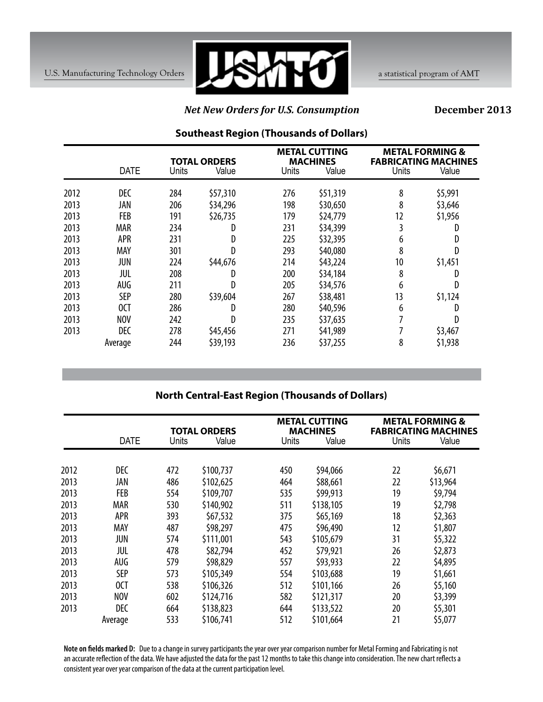

### *Net New Orders for U.S. Consumption*

**December 2013**

|      |             |       |                              |       | <b>METAL CUTTING</b>     |                 | <b>METAL FORMING &amp;</b>           |
|------|-------------|-------|------------------------------|-------|--------------------------|-----------------|--------------------------------------|
|      | <b>DATE</b> | Units | <b>TOTAL ORDERS</b><br>Value | Units | <b>MACHINES</b><br>Value | Units           | <b>FABRICATING MACHINES</b><br>Value |
| 2012 | <b>DEC</b>  | 284   | \$57,310                     | 276   | \$51,319                 | 8               | \$5,991                              |
| 2013 | JAN         | 206   | \$34,296                     | 198   | \$30,650                 | 8               | \$3,646                              |
| 2013 | <b>FEB</b>  | 191   | \$26,735                     | 179   | \$24,779                 | 12              | \$1,956                              |
| 2013 | <b>MAR</b>  | 234   | D                            | 231   | \$34,399                 | 3               | D                                    |
| 2013 | <b>APR</b>  | 231   | D                            | 225   | \$32,395                 | 6               | D                                    |
| 2013 | MAY         | 301   | D                            | 293   | \$40,080                 | 8               | D                                    |
| 2013 | JUN         | 224   | \$44,676                     | 214   | \$43,224                 | 10 <sup>°</sup> | \$1,451                              |
| 2013 | JUL         | 208   | D                            | 200   | \$34,184                 | 8               | D                                    |
| 2013 | AUG         | 211   |                              | 205   | \$34,576                 | 6               | D                                    |
| 2013 | <b>SEP</b>  | 280   | \$39,604                     | 267   | \$38,481                 | 13              | \$1,124                              |
| 2013 | 0CT         | 286   |                              | 280   | \$40,596                 | 6               | D                                    |
| 2013 | <b>NOV</b>  | 242   |                              | 235   | \$37,635                 |                 | D                                    |
| 2013 | <b>DEC</b>  | 278   | \$45,456                     | 271   | \$41,989                 |                 | \$3,467                              |
|      | Average     | 244   | \$39,193                     | 236   | \$37,255                 | 8               | \$1,938                              |

# **Southeast Region (Thousands of Dollars)**

# **North Central-East Region (Thousands of Dollars)**

|      |             |       | <b>TOTAL ORDERS</b> |              | <b>METAL CUTTING</b><br><b>MACHINES</b> | <b>METAL FORMING &amp;</b><br><b>FABRICATING MACHINES</b> |          |
|------|-------------|-------|---------------------|--------------|-----------------------------------------|-----------------------------------------------------------|----------|
|      | <b>DATE</b> | Units | Value               | <b>Units</b> | Value                                   | Units                                                     | Value    |
|      |             |       |                     |              |                                         |                                                           |          |
| 2012 | <b>DEC</b>  | 472   | \$100,737           | 450          | \$94,066                                | 22                                                        | \$6,671  |
| 2013 | JAN         | 486   | \$102,625           | 464          | \$88,661                                | 22                                                        | \$13,964 |
| 2013 | <b>FEB</b>  | 554   | \$109,707           | 535          | \$99,913                                | 19                                                        | \$9,794  |
| 2013 | <b>MAR</b>  | 530   | \$140,902           | 511          | \$138,105                               | 19                                                        | \$2,798  |
| 2013 | APR         | 393   | \$67,532            | 375          | \$65,169                                | 18                                                        | \$2,363  |
| 2013 | MAY         | 487   | \$98,297            | 475          | \$96,490                                | 12                                                        | \$1,807  |
| 2013 | JUN         | 574   | \$111,001           | 543          | \$105,679                               | 31                                                        | \$5,322  |
| 2013 | JUL         | 478   | \$82,794            | 452          | \$79,921                                | 26                                                        | \$2,873  |
| 2013 | AUG         | 579   | \$98,829            | 557          | \$93,933                                | 22                                                        | \$4,895  |
| 2013 | <b>SEP</b>  | 573   | \$105,349           | 554          | \$103,688                               | 19                                                        | \$1,661  |
| 2013 | 0CT         | 538   | \$106,326           | 512          | \$101,166                               | 26                                                        | \$5,160  |
| 2013 | <b>NOV</b>  | 602   | \$124,716           | 582          | \$121,317                               | 20                                                        | \$3,399  |
| 2013 | <b>DEC</b>  | 664   | \$138,823           | 644          | \$133,522                               | 20                                                        | \$5,301  |
|      | Average     | 533   | \$106,741           | 512          | \$101,664                               | 21                                                        | \$5,077  |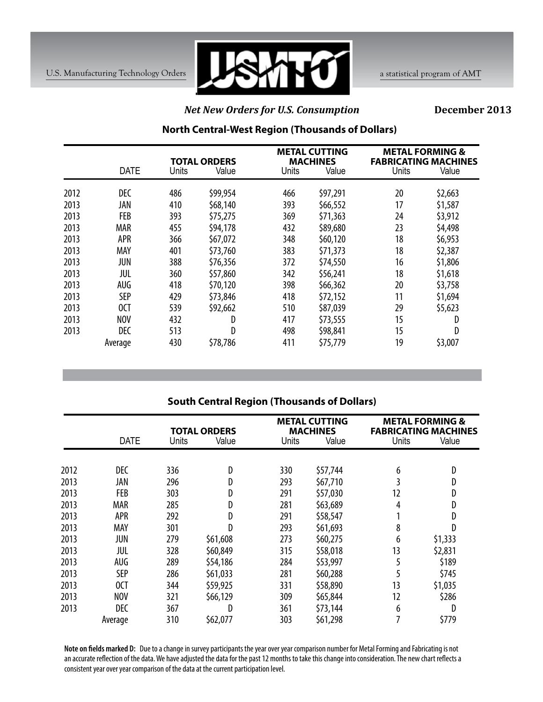

## *Net New Orders for U.S. Consumption*

**December 2013**

# **North Central-West Region (Thousands of Dollars)**

|      |            | <b>TOTAL ORDERS</b><br><b>DATE</b><br>Units<br>Value |          | Units | <b>METAL CUTTING</b><br><b>MACHINES</b><br>Value |    | <b>METAL FORMING &amp;</b><br><b>FABRICATING MACHINES</b><br><b>Units</b><br>Value |  |
|------|------------|------------------------------------------------------|----------|-------|--------------------------------------------------|----|------------------------------------------------------------------------------------|--|
|      |            |                                                      |          |       |                                                  |    |                                                                                    |  |
| 2012 | DEC        | 486                                                  | \$99,954 | 466   | \$97,291                                         | 20 | \$2,663                                                                            |  |
| 2013 | JAN        | 410                                                  | \$68,140 | 393   | \$66,552                                         | 17 | \$1,587                                                                            |  |
| 2013 | <b>FEB</b> | 393                                                  | \$75,275 | 369   | \$71,363                                         | 24 | \$3,912                                                                            |  |
| 2013 | <b>MAR</b> | 455                                                  | \$94,178 | 432   | \$89,680                                         | 23 | \$4,498                                                                            |  |
| 2013 | <b>APR</b> | 366                                                  | \$67,072 | 348   | \$60,120                                         | 18 | \$6,953                                                                            |  |
| 2013 | <b>MAY</b> | 401                                                  | \$73,760 | 383   | \$71,373                                         | 18 | \$2,387                                                                            |  |
| 2013 | JUN        | 388                                                  | \$76,356 | 372   | \$74,550                                         | 16 | \$1,806                                                                            |  |
| 2013 | JUL        | 360                                                  | \$57,860 | 342   | \$56,241                                         | 18 | \$1,618                                                                            |  |
| 2013 | AUG        | 418                                                  | \$70,120 | 398   | \$66,362                                         | 20 | \$3,758                                                                            |  |
| 2013 | <b>SEP</b> | 429                                                  | \$73,846 | 418   | \$72,152                                         | 11 | \$1,694                                                                            |  |
| 2013 | 0CT        | 539                                                  | \$92,662 | 510   | \$87,039                                         | 29 | \$5,623                                                                            |  |
| 2013 | <b>NOV</b> | 432                                                  | D        | 417   | \$73,555                                         | 15 | D                                                                                  |  |
| 2013 | <b>DEC</b> | 513                                                  | D        | 498   | \$98,841                                         | 15 | D                                                                                  |  |
|      | Average    | 430                                                  | \$78,786 | 411   | \$75,779                                         | 19 | \$3,007                                                                            |  |

# **South Central Region (Thousands of Dollars)**

|      |             | <b>TOTAL ORDERS</b> |          |       | <b>METAL CUTTING</b><br><b>MACHINES</b> |       | <b>METAL FORMING &amp;</b><br><b>FABRICATING MACHINES</b> |
|------|-------------|---------------------|----------|-------|-----------------------------------------|-------|-----------------------------------------------------------|
|      | <b>DATE</b> | Units               | Value    | Units | Value                                   | Units | Value                                                     |
|      |             |                     |          |       |                                         |       |                                                           |
| 2012 | <b>DEC</b>  | 336                 | D        | 330   | \$57,744                                | 6     | D                                                         |
| 2013 | JAN         | 296                 | D        | 293   | \$67,710                                | 3     | D                                                         |
| 2013 | <b>FEB</b>  | 303                 | D        | 291   | \$57,030                                | 12    | D                                                         |
| 2013 | <b>MAR</b>  | 285                 | D        | 281   | \$63,689                                | 4     | D                                                         |
| 2013 | APR         | 292                 | D        | 291   | \$58,547                                |       | D                                                         |
| 2013 | MAY         | 301                 | D        | 293   | \$61,693                                | 8     | D                                                         |
| 2013 | JUN         | 279                 | \$61,608 | 273   | \$60,275                                | 6     | \$1,333                                                   |
| 2013 | JUL         | 328                 | \$60,849 | 315   | \$58,018                                | 13    | \$2,831                                                   |
| 2013 | AUG         | 289                 | \$54,186 | 284   | \$53,997                                | 5     | \$189                                                     |
| 2013 | <b>SEP</b>  | 286                 | \$61,033 | 281   | \$60,288                                | 5     | \$745                                                     |
| 2013 | 0CT         | 344                 | \$59,925 | 331   | \$58,890                                | 13    | \$1,035                                                   |
| 2013 | <b>NOV</b>  | 321                 | \$66,129 | 309   | \$65,844                                | 12    | \$286                                                     |
| 2013 | <b>DEC</b>  | 367                 | D        | 361   | \$73,144                                | 6     | D                                                         |
|      | Average     | 310                 | \$62,077 | 303   | \$61,298                                |       | \$779                                                     |